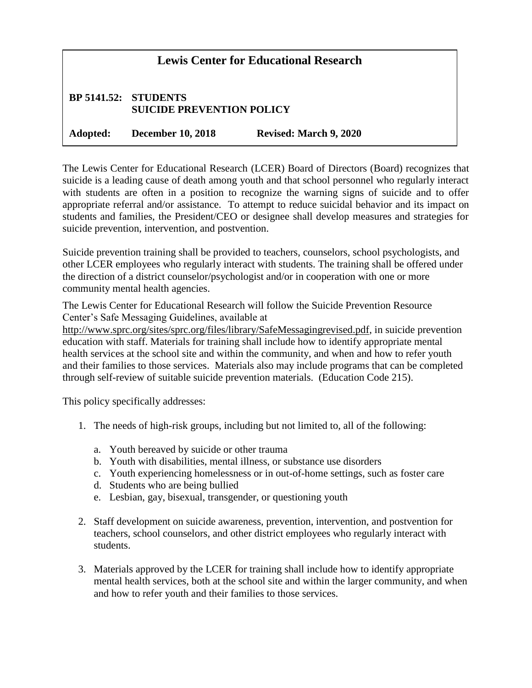| <b>Lewis Center for Educational Research</b> |                                                          |                               |  |
|----------------------------------------------|----------------------------------------------------------|-------------------------------|--|
|                                              | BP 5141.52: STUDENTS<br><b>SUICIDE PREVENTION POLICY</b> |                               |  |
|                                              | Adopted: December 10, 2018                               | <b>Revised: March 9, 2020</b> |  |

The Lewis Center for Educational Research (LCER) Board of Directors (Board) recognizes that suicide is a leading cause of death among youth and that school personnel who regularly interact with students are often in a position to recognize the warning signs of suicide and to offer appropriate referral and/or assistance. To attempt to reduce suicidal behavior and its impact on students and families, the President/CEO or designee shall develop measures and strategies for suicide prevention, intervention, and postvention.

Suicide prevention training shall be provided to teachers, counselors, school psychologists, and other LCER employees who regularly interact with students. The training shall be offered under the direction of a district counselor/psychologist and/or in cooperation with one or more community mental health agencies.

The Lewis Center for Educational Research will follow the Suicide Prevention Resource Center's Safe Messaging Guidelines, available at

[http://www.sprc.org/sites/sprc.org/files/library/SafeMessagingrevised.pdf,](http://www.sprc.org/sites/sprc.org/files/library/SafeMessagingrevised.pdf) in suicide prevention education with staff. Materials for training shall include how to identify appropriate mental health services at the school site and within the community, and when and how to refer youth and their families to those services. Materials also may include programs that can be completed through self-review of suitable suicide prevention materials. (Education Code 215).

This policy specifically addresses:

- 1. The needs of high-risk groups, including but not limited to, all of the following:
	- a. Youth bereaved by suicide or other trauma
	- b. Youth with disabilities, mental illness, or substance use disorders
	- c. Youth experiencing homelessness or in out-of-home settings, such as foster care
	- d. Students who are being bullied
	- e. Lesbian, gay, bisexual, transgender, or questioning youth
- 2. Staff development on suicide awareness, prevention, intervention, and postvention for teachers, school counselors, and other district employees who regularly interact with students.
- 3. Materials approved by the LCER for training shall include how to identify appropriate mental health services, both at the school site and within the larger community, and when and how to refer youth and their families to those services.